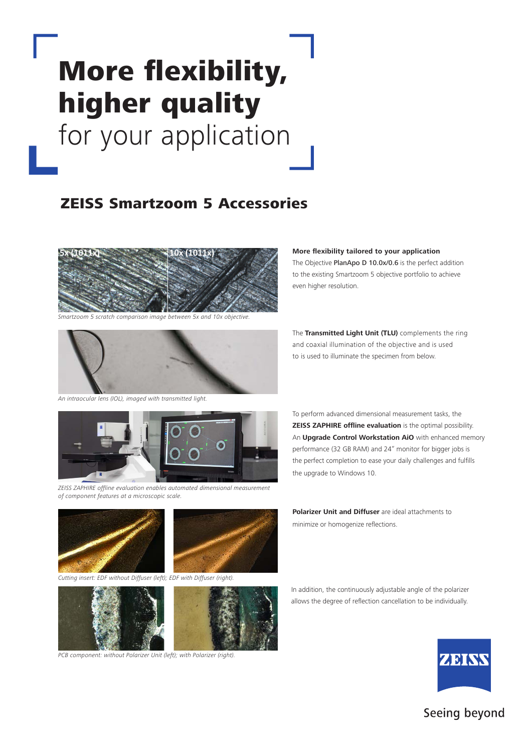# More flexibility, higher quality for your application

## ZEISS Smartzoom 5 Accessories



*Smartzoom 5 scratch comparison image between 5x and 10x objective.*



*An intraocular lens (IOL), imaged with transmitted light.*



*ZEISS ZAPHIRE offline evaluation enables automated dimensional measurement of component features at a microscopic scale.*





*Cutting insert: EDF without Diffuser (left); EDF with Diffuser (right).*



*PCB component: without Polarizer Unit (left); with Polarizer (right).*

#### **More flexibility tailored to your application**

The Objective PlanApo D 10.0x/0.6 is the perfect addition to the existing Smartzoom 5 objective portfolio to achieve even higher resolution.

The **Transmitted Light Unit (TLU)** complements the ring and coaxial illumination of the objective and is used to is used to illuminate the specimen from below.

To perform advanced dimensional measurement tasks, the **ZEISS ZAPHIRE offline evaluation** is the optimal possibility. An **Upgrade Control Workstation AiO** with enhanced memory performance (32 GB RAM) and 24" monitor for bigger jobs is the perfect completion to ease your daily challenges and fulfills the upgrade to Windows 10.

**Polarizer Unit and Diffuser** are ideal attachments to minimize or homogenize reflections.

In addition, the continuously adjustable angle of the polarizer allows the degree of reflection cancellation to be individually.



### Seeing beyond